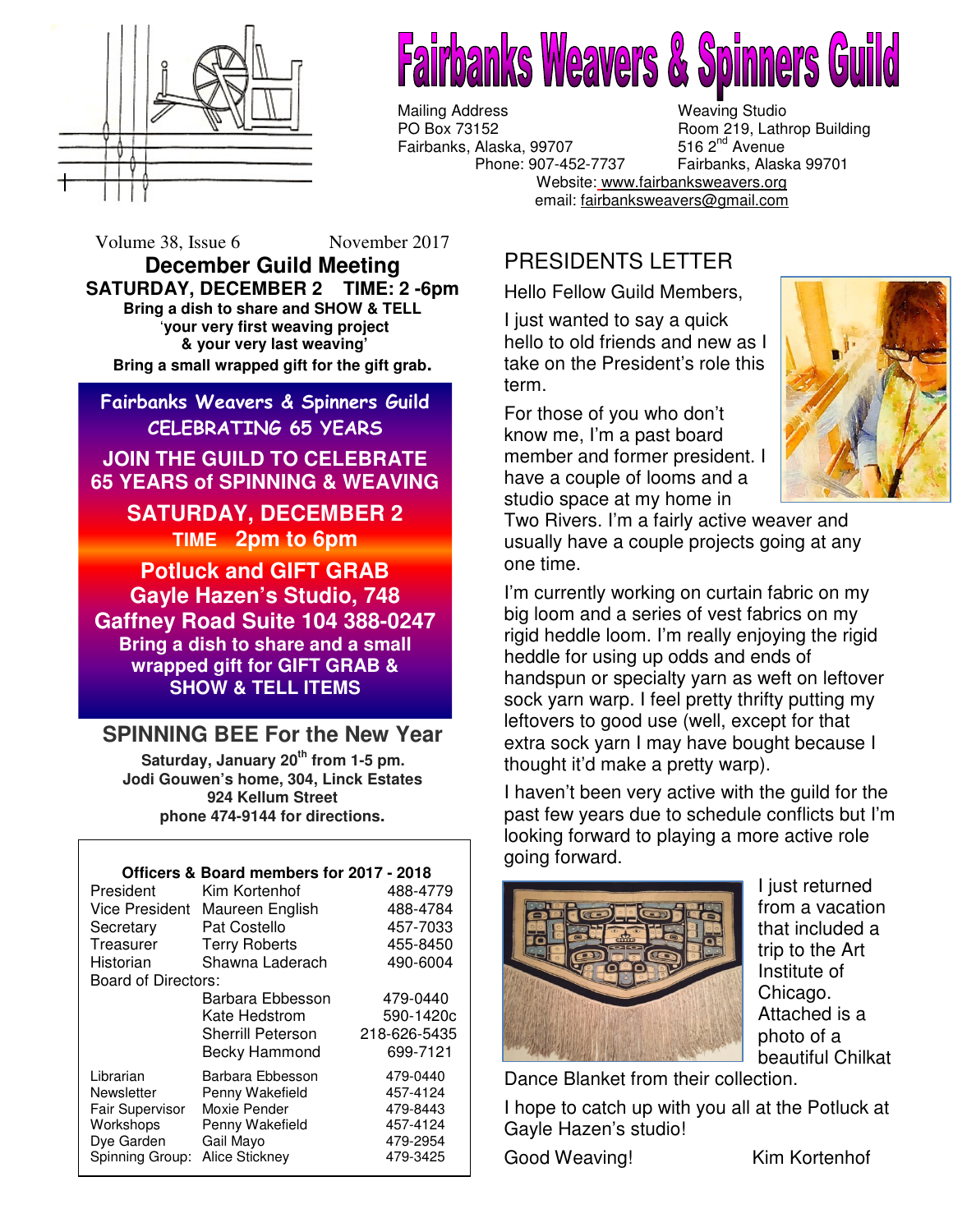

# **irbanks Weavers & Spinners Guild**

Mailing Address Weaving Studio<br>
PO Box 73152 Boom 219. Lath Fairbanks, Alaska, 99707

email: <u>fairbanksweavers@gmail.com</u> Room 219, Lathrop Building<br>516 2<sup>nd</sup> Avenue Phone: 907-452-7737 Fairbanks, Alaska 99701 Website: www.fairbanksweavers.org

Volume 38, Issue 6 November 2017

**December Guild Meeting SATURDAY, DECEMBER 2 TIME: 2 -6pm Bring a dish to share and SHOW & TELL**  '**your very first weaving project & your very last weaving' Bring a small wrapped gift for the gift grab.** 

Fairbanks Weavers & Spinners Guild CELEBRATING 65 YEARS

**JOIN THE GUILD TO CELEBRATE 65 YEARS of SPINNING & WEAVING** 

> **SATURDAY, DECEMBER 2 TIME 2pm to 6pm**

**Potluck and GIFT GRAB Gayle Hazen's Studio, 748 Gaffney Road Suite 104 388-0247 Bring a dish to share and a small wrapped gift for GIFT GRAB & SHOW & TELL ITEMS** 

# **SPINNING BEE For the New Year**

**Saturday, January 20th from 1-5 pm. Jodi Gouwen's home, 304, Linck Estates 924 Kellum Street phone 474-9144 for directions.** 

### **Officers & Board members for 2017 - 2018**

| President              | Kim Kortenhof            | 488-4779     |
|------------------------|--------------------------|--------------|
| <b>Vice President</b>  | Maureen English          | 488-4784     |
| Secretary              | Pat Costello             | 457-7033     |
| Treasurer              | <b>Terry Roberts</b>     | 455-8450     |
| Historian              | Shawna Laderach          | 490-6004     |
| Board of Directors:    |                          |              |
|                        | Barbara Ebbesson         | 479-0440     |
|                        | Kate Hedstrom            | 590-1420c    |
|                        | <b>Sherrill Peterson</b> | 218-626-5435 |
|                        | Becky Hammond            | 699-7121     |
| Librarian              | Barbara Ebbesson         | 479-0440     |
| Newsletter             | Penny Wakefield          | 457-4124     |
| <b>Fair Supervisor</b> | Moxie Pender             | 479-8443     |
| Workshops              | Penny Wakefield          | 457-4124     |
| Dye Garden             | Gail Mayo                | 479-2954     |
| Spinning Group:        | Alice Stickney           | 479-3425     |

# PRESIDENTS LETTER

Hello Fellow Guild Members,

I just wanted to say a quick hello to old friends and new as I take on the President's role this term.

For those of you who don't know me, I'm a past board member and former president. I have a couple of looms and a studio space at my home in



Two Rivers. I'm a fairly active weaver and usually have a couple projects going at any one time.

I'm currently working on curtain fabric on my big loom and a series of vest fabrics on my rigid heddle loom. I'm really enjoying the rigid heddle for using up odds and ends of handspun or specialty yarn as weft on leftover sock yarn warp. I feel pretty thrifty putting my leftovers to good use (well, except for that extra sock yarn I may have bought because I thought it'd make a pretty warp).

I haven't been very active with the guild for the past few years due to schedule conflicts but I'm looking forward to playing a more active role going forward.



I just returned from a vacation that included a trip to the Art Institute of Chicago. Attached is a photo of a beautiful Chilkat

Dance Blanket from their collection.

I hope to catch up with you all at the Potluck at Gayle Hazen's studio!

Good Weaving! Kim Kortenhof